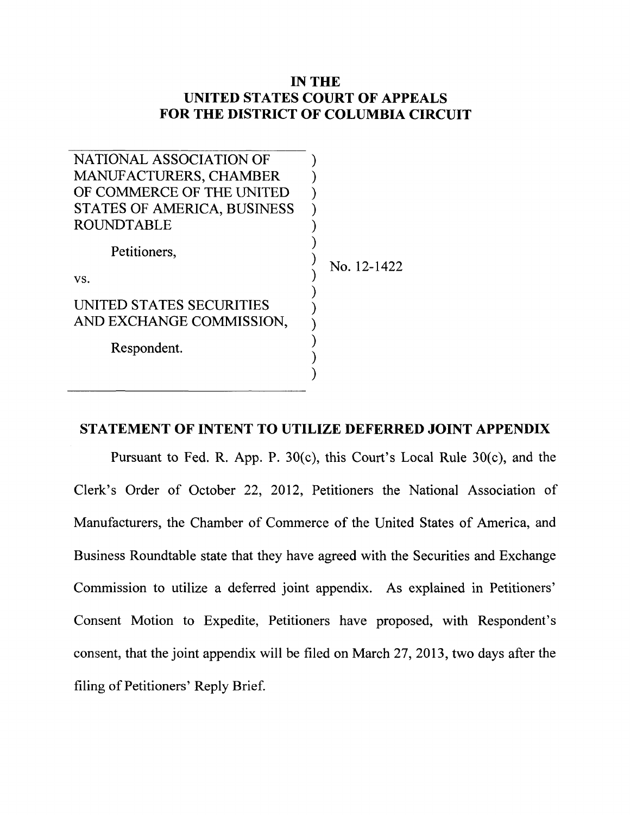## **IN THE UNITED STATES COURT OF APPEALS FOR THE DISTRICT OF COLUMBIA CIRCUIT**

| NATIONAL ASSOCIATION OF                              |             |
|------------------------------------------------------|-------------|
| <b>MANUFACTURERS, CHAMBER</b>                        |             |
| OF COMMERCE OF THE UNITED                            |             |
| STATES OF AMERICA, BUSINESS                          |             |
| <b>ROUNDTABLE</b>                                    |             |
| Petitioners,                                         | No. 12-1422 |
| VS.                                                  |             |
| UNITED STATES SECURITIES<br>AND EXCHANGE COMMISSION, |             |
| Respondent.                                          |             |
|                                                      |             |
|                                                      |             |

## **STATEMENT OF INTENT TO UTILIZE DEFERRED JOINT APPENDIX**

Pursuant to Fed. R. App. P. 30(c), this Court's Local Rule 30(c), and the Clerk's Order of October 22, 2012, Petitioners the National Association of Manufacturers, the Chamber of Commerce of the United States of America, and Business Roundtable state that they have agreed with the Securities and Exchange Commission to utilize a deferred joint appendix. As explained in Petitioners' Consent Motion to Expedite, Petitioners have proposed, with Respondent's consent, that the joint appendix will be filed on March 27, 2013, two days after the filing of Petitioners' Reply Brief.